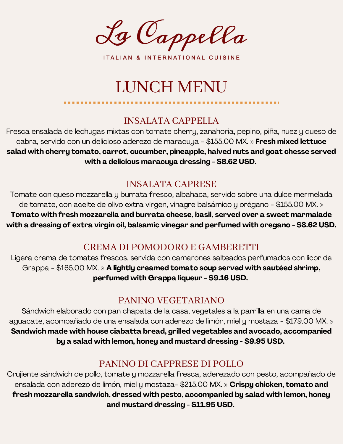La Cappella

ITALIAN & INTERNATIONAL CUISINE

# LUNCH MENU

### INSALATA CAPPELLA

Fresca ensalada de lechugas mixtas con tomate cherry, zanahoria, pepino, piña, nuez y queso de cabra, servido con un delicioso aderezo de maracuya - \$155.00 MX. » **Fresh mixed lettuce salad with cherry tomato, carrot, cucumber, pineapple, halved nuts and goat chesse served with a delicious maracuya dressing - \$8.62 USD.**

# INSALATA CAPRESE

Tomate con queso mozzarella y burrata fresco, albahaca, servido sobre una dulce mermelada de tomate, con aceite de olivo extra virgen, vinagre balsámico y orégano - \$155.00 MX. » **Tomato with fresh mozzarella and burrata cheese, basil, served over a sweet marmalade with a dressing of extra virgin oil, balsamic vinegar and perfumed with oregano - \$8.62 USD.**

# CREMA DI POMODORO E GAMBERETTI

Ligera crema de tomates frescos, servida con camarones salteados perfumados con licor de Grappa - \$165.00 MX. » **A lightly creamed tomato soup served with sautéed shrimp, perfumed with Grappa liqueur - \$9.16 USD.**

# PANINO VEGETARIANO

Sándwich elaborado con pan chapata de la casa, vegetales a la parrilla en una cama de aguacate, acompañado de una ensalada con aderezo de limón, miel y mostaza - \$179.00 MX. » **Sandwich made with house ciabatta bread, grilled vegetables and avocado, accompanied by a salad with lemon, honey and mustard dressing - \$9.95 USD.**

# PANINO DI CAPPRESE DI POLLO

Crujiente sándwich de pollo, tomate y mozzarella fresca, aderezado con pesto, acompañado de ensalada con aderezo de limón, miel y mostaza- \$215.00 MX. » **Crispy chicken, tomato and fresh mozzarella sandwich, dressed with pesto, accompanied by salad with lemon, honey and mustard dressing - \$11.95 USD.**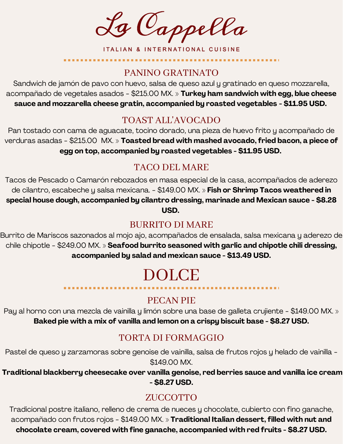La Cappella

ITALIAN & INTERNATIONAL CUISINE

#### PANINO GRATINATO

Sandwich de jamón de pavo con huevo, salsa de queso azul y gratinado en queso mozzarella, acompañado de vegetales asados - \$215.00 MX. » **Turkey ham sandwich with egg, blue cheese sauce and mozzarella cheese gratin, accompanied by roasted vegetables - \$11.95 USD.**

#### TOAST ALL'AVOCADO

Pan tostado con cama de aguacate, tocino dorado, una pieza de huevo frito y acompañado de verduras asadas - \$215.00 MX. » **Toasted bread with mashed avocado, fried bacon, a piece of egg on top, accompanied by roasted vegetables - \$11.95 USD.**

# TACO DEL MARE

Tacos de Pescado o Camarón rebozados en masa especial de la casa, acompañados de aderezo de cilantro, escabeche y salsa mexicana. - \$149.00 MX. » **Fish or Shrimp Tacos weathered in special house dough, accompanied by cilantro dressing, marinade and Mexican sauce - \$8.28 USD.**

# BURRITO DI MARE

Burrito de Mariscos sazonados al mojo ajo, acompañados de ensalada, salsa mexicana y aderezo de chile chipotle - \$249.00 MX. » **Seafood burrito seasoned with garlic and chipotle chili dressing, accompanied by salad and mexican sauce - \$13.49 USD.**

# DOLCE

---------------

..................

# PECAN PIE

Pay al horno con una mezcla de vainilla y limón sobre una base de galleta crujiente - \$149.00 MX. » **Baked pie with a mix of vanilla and lemon on a crispy biscuit base - \$8.27 USD.**

# TORTA DI FORMAGGIO

Pastel de queso y zarzamoras sobre genoise de vainilla, salsa de frutos rojos y helado de vainilla -\$149.00 MX.

**Traditional blackberry cheesecake over vanilla genoise, red berries sauce and vanilla ice cream - \$8.27 USD.**

# ZUCCOTTO

Tradicional postre italiano, relleno de crema de nueces y chocolate, cubierto con fino ganache, acompañado con frutos rojos - \$149.00 MX. » **Traditional Italian dessert, filled with nut and chocolate cream, covered with fine ganache, accompanied with red fruits - \$8.27 USD.**